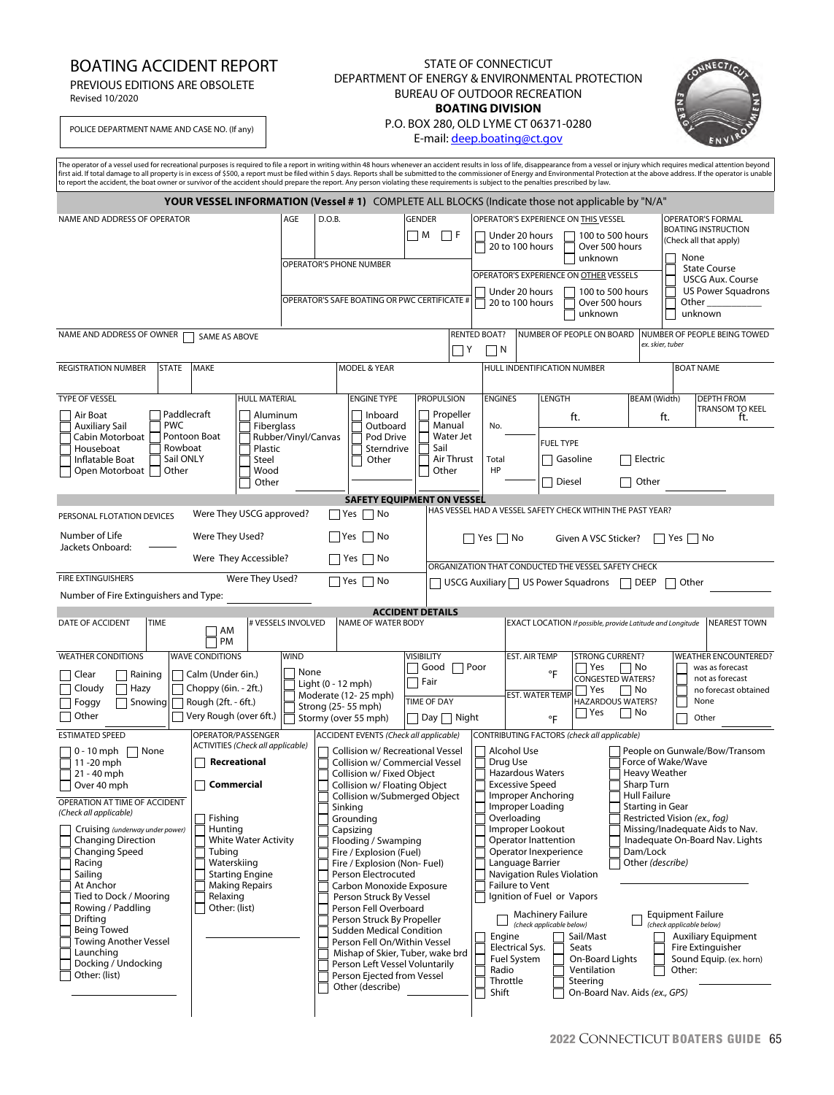## BOATING ACCIDENT REPORT

PREVIOUS EDITIONS ARE OBSOLETE

Revised 10/2020

## STATE OF CONNECTICUT DEPARTMENT OF ENERGY & ENVIRONMENTAL PROTECTION BUREAU OF OUTDOOR RECREATION **BOATING DIVISION**



POLICE DEPARTMENT NAME AND CASE NO. (If any)

## P.O. BOX 280, OLD LYME CT 06371-0280

E-mail: deep.boating@ct.gov

|                                                                                                                                                                                                                                                                                                                                                                                                                                                                                                                                                                            |                                                                                                                                                                                                                                                                   |                                                                                                                                                                                                                                                                                                                                                                                                                                                                                                                                                                                                                                                                 |                                                                                             | The operator of a vessel used for recreational purposes is required to file a report in writing within 48 hours whenever an accident results in loss of life, disappearance from a vessel or injury which requires medical att<br>first aid. If total damage to all property is in excess of \$500, a report must be filed within 5 days. Reports shall be submitted to the commissioner of Energy and Environmental Protection at the above address. If the oper<br>to report the accident, the boat owner or survivor of the accident should prepare the report. Any person violating these requirements is subject to the penalties prescribed by law.                                                                                                                                                                                                                                                                                                                                                                                |  |  |  |
|----------------------------------------------------------------------------------------------------------------------------------------------------------------------------------------------------------------------------------------------------------------------------------------------------------------------------------------------------------------------------------------------------------------------------------------------------------------------------------------------------------------------------------------------------------------------------|-------------------------------------------------------------------------------------------------------------------------------------------------------------------------------------------------------------------------------------------------------------------|-----------------------------------------------------------------------------------------------------------------------------------------------------------------------------------------------------------------------------------------------------------------------------------------------------------------------------------------------------------------------------------------------------------------------------------------------------------------------------------------------------------------------------------------------------------------------------------------------------------------------------------------------------------------|---------------------------------------------------------------------------------------------|------------------------------------------------------------------------------------------------------------------------------------------------------------------------------------------------------------------------------------------------------------------------------------------------------------------------------------------------------------------------------------------------------------------------------------------------------------------------------------------------------------------------------------------------------------------------------------------------------------------------------------------------------------------------------------------------------------------------------------------------------------------------------------------------------------------------------------------------------------------------------------------------------------------------------------------------------------------------------------------------------------------------------------------|--|--|--|
|                                                                                                                                                                                                                                                                                                                                                                                                                                                                                                                                                                            |                                                                                                                                                                                                                                                                   |                                                                                                                                                                                                                                                                                                                                                                                                                                                                                                                                                                                                                                                                 |                                                                                             | YOUR VESSEL INFORMATION (Vessel #1) COMPLETE ALL BLOCKS (Indicate those not applicable by "N/A"                                                                                                                                                                                                                                                                                                                                                                                                                                                                                                                                                                                                                                                                                                                                                                                                                                                                                                                                          |  |  |  |
| NAME AND ADDRESS OF OPERATOR                                                                                                                                                                                                                                                                                                                                                                                                                                                                                                                                               |                                                                                                                                                                                                                                                                   | AGE<br>D.O.B.<br><b>GENDER</b><br>$\Box$ M<br>$\Box F$<br>OPERATOR'S PHONE NUMBER<br>OPERATOR'S SAFE BOATING OR PWC CERTIFICATE #                                                                                                                                                                                                                                                                                                                                                                                                                                                                                                                               |                                                                                             | OPERATOR'S EXPERIENCE ON THIS VESSEL<br>OPERATOR'S FORMAL<br><b>BOATING INSTRUCTION</b><br>Under 20 hours<br>100 to 500 hours<br>(Check all that apply)<br>20 to 100 hours<br>Over 500 hours<br>None<br>unknown<br><b>State Course</b><br>OPERATOR'S EXPERIENCE ON OTHER VESSELS<br><b>USCG Aux. Course</b><br><b>US Power Squadrons</b><br>Under 20 hours<br>100 to 500 hours<br>20 to 100 hours<br>Over 500 hours<br>Other<br>unknown<br>unknown                                                                                                                                                                                                                                                                                                                                                                                                                                                                                                                                                                                       |  |  |  |
| NAME AND ADDRESS OF OWNER                                                                                                                                                                                                                                                                                                                                                                                                                                                                                                                                                  | SAME AS ABOVE                                                                                                                                                                                                                                                     |                                                                                                                                                                                                                                                                                                                                                                                                                                                                                                                                                                                                                                                                 | $\Box$ Y                                                                                    | NUMBER OF PEOPLE ON BOARD<br><b>RENTED BOAT?</b><br>NUMBER OF PEOPLE BEING TOWED<br>ex, skier, tuber<br>$\Box N$                                                                                                                                                                                                                                                                                                                                                                                                                                                                                                                                                                                                                                                                                                                                                                                                                                                                                                                         |  |  |  |
| <b>REGISTRATION NUMBER</b><br><b>STATE</b>                                                                                                                                                                                                                                                                                                                                                                                                                                                                                                                                 | <b>MAKE</b>                                                                                                                                                                                                                                                       | <b>MODEL &amp; YEAR</b>                                                                                                                                                                                                                                                                                                                                                                                                                                                                                                                                                                                                                                         |                                                                                             | HULL INDENTIFICATION NUMBER<br><b>BOAT NAME</b>                                                                                                                                                                                                                                                                                                                                                                                                                                                                                                                                                                                                                                                                                                                                                                                                                                                                                                                                                                                          |  |  |  |
| TYPE OF VESSEL<br>Paddlecraft<br>Air Boat<br><b>PWC</b><br><b>Auxiliary Sail</b><br>Cabin Motorboat<br>Rowboat<br>Houseboat<br>Sail ONLY<br>Inflatable Boat<br>Other<br>Open Motorboat                                                                                                                                                                                                                                                                                                                                                                                     | HULL MATERIAL<br>Aluminum<br>Fiberglass<br>Pontoon Boat<br>Plastic<br>Steel<br>Wood<br>Other                                                                                                                                                                      | <b>ENGINE TYPE</b><br>Inboard<br>Outboard<br>Rubber/Vinyl/Canvas<br>Pod Drive<br>Sterndrive<br>Other                                                                                                                                                                                                                                                                                                                                                                                                                                                                                                                                                            | <b>PROPULSION</b><br>Propeller<br>Manual<br>Water Jet<br>Sail<br>Air Thrust<br>Other        | <b>ENGINES</b><br>LENGTH<br><b>BEAM (Width)</b><br><b>DEPTH FROM</b><br>TRANSOM TO KEEL<br>ft.<br>ft.<br>ft.<br>No.<br><b>FUEL TYPE</b><br>$\Box$ Electric<br>Gasoline<br>Total<br><b>HP</b><br>Diesel<br>$\Box$ Other                                                                                                                                                                                                                                                                                                                                                                                                                                                                                                                                                                                                                                                                                                                                                                                                                   |  |  |  |
|                                                                                                                                                                                                                                                                                                                                                                                                                                                                                                                                                                            |                                                                                                                                                                                                                                                                   |                                                                                                                                                                                                                                                                                                                                                                                                                                                                                                                                                                                                                                                                 | <b>SAFETY EQUIPMENT ON VESSEL</b>                                                           |                                                                                                                                                                                                                                                                                                                                                                                                                                                                                                                                                                                                                                                                                                                                                                                                                                                                                                                                                                                                                                          |  |  |  |
| HAS VESSEL HAD A VESSEL SAFETY CHECK WITHIN THE PAST YEAR?<br>Were They USCG approved?<br>$\Box$ Yes<br>□ No<br>PERSONAL FLOTATION DEVICES<br>Number of Life<br>Were They Used?<br>  Yes  No<br>    Yes     No<br>Given A VSC Sticker?<br>  Yes  No<br>Jackets Onboard:<br>Were They Accessible?<br>    Yes     No<br>ORGANIZATION THAT CONDUCTED THE VESSEL SAFETY CHECK<br><b>FIRE EXTINGUISHERS</b><br>Were They Used?<br>$\Box$ Yes $\Box$ No<br>$\Box$ USCG Auxiliary $\Box$ US Power Squadrons $\Box$ DEEP<br>$\Box$ Other<br>Number of Fire Extinguishers and Type: |                                                                                                                                                                                                                                                                   |                                                                                                                                                                                                                                                                                                                                                                                                                                                                                                                                                                                                                                                                 |                                                                                             |                                                                                                                                                                                                                                                                                                                                                                                                                                                                                                                                                                                                                                                                                                                                                                                                                                                                                                                                                                                                                                          |  |  |  |
|                                                                                                                                                                                                                                                                                                                                                                                                                                                                                                                                                                            |                                                                                                                                                                                                                                                                   |                                                                                                                                                                                                                                                                                                                                                                                                                                                                                                                                                                                                                                                                 | <b>ACCIDENT DETAILS</b>                                                                     |                                                                                                                                                                                                                                                                                                                                                                                                                                                                                                                                                                                                                                                                                                                                                                                                                                                                                                                                                                                                                                          |  |  |  |
| DATE OF ACCIDENT<br><b>TIME</b>                                                                                                                                                                                                                                                                                                                                                                                                                                                                                                                                            | # VESSELS INVOLVED<br>AM<br>PM                                                                                                                                                                                                                                    | NAME OF WATER BODY                                                                                                                                                                                                                                                                                                                                                                                                                                                                                                                                                                                                                                              |                                                                                             | <b>NEAREST TOWN</b><br>EXACT LOCATION If possible, provide Latitude and Longitude                                                                                                                                                                                                                                                                                                                                                                                                                                                                                                                                                                                                                                                                                                                                                                                                                                                                                                                                                        |  |  |  |
| <b>WEATHER CONDITIONS</b><br>Raining<br>Clear<br>Cloudy<br>Hazy<br>  Foggy<br>Snowing<br>□ Other                                                                                                                                                                                                                                                                                                                                                                                                                                                                           | <b>WAVE CONDITIONS</b><br>$\Box$ Calm (Under 6in.)<br>Choppy (6in. - 2ft.)<br>Rough (2ft. - 6ft.)<br>Very Rough (over 6ft.)                                                                                                                                       | <b>WIND</b><br>None<br>Light (0 - 12 mph)<br>Moderate (12-25 mph)<br>Strong (25-55 mph)<br>Stormy (over 55 mph)                                                                                                                                                                                                                                                                                                                                                                                                                                                                                                                                                 | <b>VISIBILITY</b><br>Good $\Box$ Poor<br>$\Box$ Fair<br><b>TIME OF DAY</b><br>□ Day □ Night | EST. AIR TEMP<br><b>WEATHER ENCOUNTERED?</b><br><b>STRONG CURRENT?</b><br>was as forecast<br>Yes<br>    No<br>°F<br><b>CONGESTED WATERS?</b><br>not as forecast<br>  Yes<br>    No<br>no forecast obtained<br><b>EST. WATER TEMP</b><br>HAZARDOUS WATERS?<br>None<br>□ Yes<br>∣ No<br>°F<br>Other                                                                                                                                                                                                                                                                                                                                                                                                                                                                                                                                                                                                                                                                                                                                        |  |  |  |
| <b>ESTIMATED SPEED</b><br>$0 - 10$ mph<br>None<br>11-20 mph<br>21 - 40 mph<br>Over 40 mph<br>OPERATION AT TIME OF ACCIDENT<br>(Check all applicable)<br>Cruising (underway under power)<br><b>Changing Direction</b><br>Changing Speed<br>Racing<br>Sailing<br>At Anchor<br>Tied to Dock / Mooring<br>Rowing / Paddling<br>Drifting<br><b>Being Towed</b><br><b>Towing Another Vessel</b><br>Launching<br>Docking / Undocking<br>Other: (list)                                                                                                                             | OPERATOR/PASSENGER<br><b>ACTIVITIES (Check all applicable)</b><br>Recreational<br><b>Commercial</b><br>Fishing<br>Hunting<br><b>White Water Activity</b><br>Tubing<br>Waterskiing<br><b>Starting Engine</b><br><b>Making Repairs</b><br>Relaxing<br>Other: (list) | ACCIDENT EVENTS (Check all applicable)<br>Collision w/ Recreational Vessel<br>Collision w/ Commercial Vessel<br>Collision w/ Fixed Object<br>Collision w/ Floating Object<br>Collision w/Submerged Object<br>Sinking<br>Grounding<br>Capsizing<br>Flooding / Swamping<br>Fire / Explosion (Fuel)<br>Fire / Explosion (Non-Fuel)<br>Person Electrocuted<br>Carbon Monoxide Exposure<br>Person Struck By Vessel<br>Person Fell Overboard<br>Person Struck By Propeller<br><b>Sudden Medical Condition</b><br>Person Fell On/Within Vessel<br>Mishap of Skier, Tuber, wake brd<br>Person Left Vessel Voluntarily<br>Person Ejected from Vessel<br>Other (describe) |                                                                                             | CONTRIBUTING FACTORS (check all applicable)<br>Alcohol Use<br>People on Gunwale/Bow/Transom<br>Force of Wake/Wave<br>Drug Use<br>Heavy Weather<br><b>Hazardous Waters</b><br><b>Excessive Speed</b><br>Sharp Turn<br><b>Hull Failure</b><br>Improper Anchoring<br>Improper Loading<br><b>Starting in Gear</b><br>Overloading<br>Restricted Vision (ex., fog)<br>Improper Lookout<br>Missing/Inadequate Aids to Nav.<br>Inadequate On-Board Nav. Lights<br>Operator Inattention<br>Operator Inexperience<br>Dam/Lock<br>Language Barrier<br>Other (describe)<br>Navigation Rules Violation<br><b>Failure to Vent</b><br>Ignition of Fuel or Vapors<br><b>Machinery Failure</b><br><b>Equipment Failure</b><br>(check applicable below)<br>(check applicable below)<br>Sail/Mast<br><b>Auxiliary Equipment</b><br>Engine<br>Seats<br>Electrical Sys.<br>Fire Extinguisher<br>Fuel System<br>On-Board Lights<br>Sound Equip. (ex. horn)<br>Radio<br>Ventilation<br>Other:<br>Throttle<br>Steering<br>Shift<br>On-Board Nav. Aids (ex., GPS) |  |  |  |